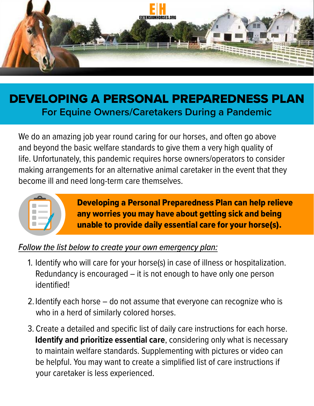

## DEVELOPING A PERSONAL PREPAREDNESS PLAN **For Equine Owners/Caretakers During a Pandemic**

We do an amazing job year round caring for our horses, and often go above and beyond the basic welfare standards to give them a very high quality of life. Unfortunately, this pandemic requires horse owners/operators to consider making arrangements for an alternative animal caretaker in the event that they become ill and need long-term care themselves.



Developing a Personal Preparedness Plan can help relieve any worries you may have about getting sick and being unable to provide daily essential care for your horse(s).

## *Follow the list below to create your own emergency plan:*

- 1. Identify who will care for your horse(s) in case of illness or hospitalization. Redundancy is encouraged – it is not enough to have only one person identified!
- 2. Identify each horse do not assume that everyone can recognize who is who in a herd of similarly colored horses.
- 3. Create a detailed and specific list of daily care instructions for each horse. **Identify and prioritize essential care**, considering only what is necessary to maintain welfare standards. Supplementing with pictures or video can be helpful. You may want to create a simplified list of care instructions if your caretaker is less experienced.